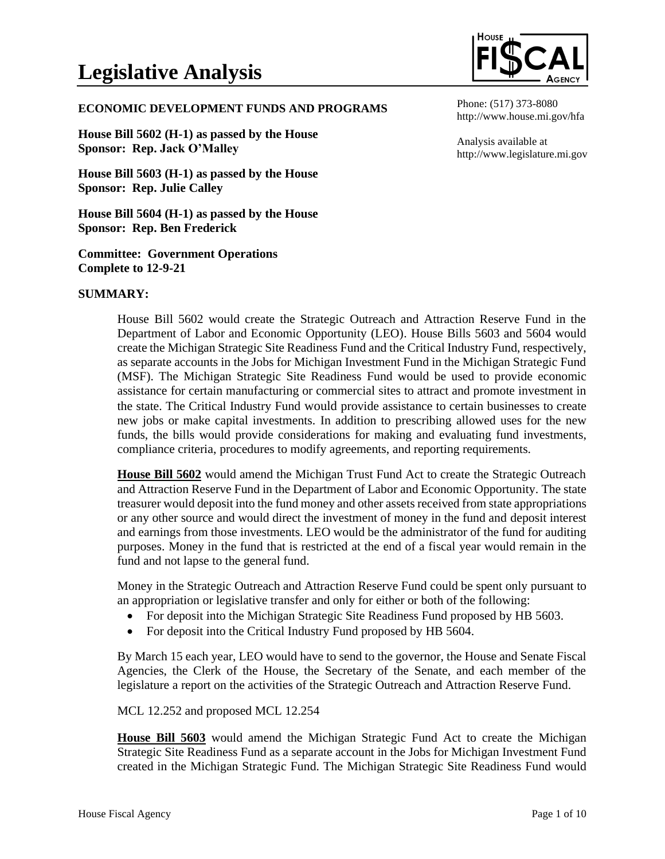

#### **ECONOMIC DEVELOPMENT FUNDS AND PROGRAMS**

**House Bill 5602 (H-1) as passed by the House Sponsor: Rep. Jack O'Malley**

**House Bill 5603 (H-1) as passed by the House Sponsor: Rep. Julie Calley**

**House Bill 5604 (H-1) as passed by the House Sponsor: Rep. Ben Frederick**

**Committee: Government Operations Complete to 12-9-21**

#### **SUMMARY:**

House Bill 5602 would create the Strategic Outreach and Attraction Reserve Fund in the Department of Labor and Economic Opportunity (LEO). House Bills 5603 and 5604 would create the Michigan Strategic Site Readiness Fund and the Critical Industry Fund, respectively, as separate accounts in the Jobs for Michigan Investment Fund in the Michigan Strategic Fund (MSF). The Michigan Strategic Site Readiness Fund would be used to provide economic assistance for certain manufacturing or commercial sites to attract and promote investment in the state. The Critical Industry Fund would provide assistance to certain businesses to create new jobs or make capital investments. In addition to prescribing allowed uses for the new funds, the bills would provide considerations for making and evaluating fund investments, compliance criteria, procedures to modify agreements, and reporting requirements.

**House Bill 5602** would amend the Michigan Trust Fund Act to create the Strategic Outreach and Attraction Reserve Fund in the Department of Labor and Economic Opportunity. The state treasurer would deposit into the fund money and other assets received from state appropriations or any other source and would direct the investment of money in the fund and deposit interest and earnings from those investments. LEO would be the administrator of the fund for auditing purposes. Money in the fund that is restricted at the end of a fiscal year would remain in the fund and not lapse to the general fund.

Money in the Strategic Outreach and Attraction Reserve Fund could be spent only pursuant to an appropriation or legislative transfer and only for either or both of the following:

- For deposit into the Michigan Strategic Site Readiness Fund proposed by HB 5603.
- For deposit into the Critical Industry Fund proposed by HB 5604.

By March 15 each year, LEO would have to send to the governor, the House and Senate Fiscal Agencies, the Clerk of the House, the Secretary of the Senate, and each member of the legislature a report on the activities of the Strategic Outreach and Attraction Reserve Fund.

MCL 12.252 and proposed MCL 12.254

**House Bill 5603** would amend the Michigan Strategic Fund Act to create the Michigan Strategic Site Readiness Fund as a separate account in the Jobs for Michigan Investment Fund created in the Michigan Strategic Fund. The Michigan Strategic Site Readiness Fund would

Phone: (517) 373-8080 http://www.house.mi.gov/hfa

Analysis available at http://www.legislature.mi.gov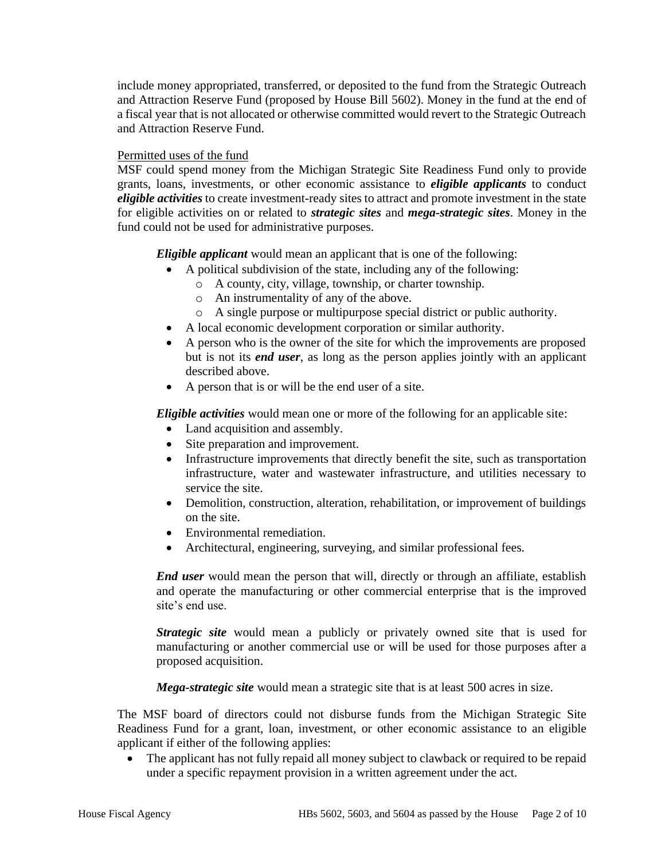include money appropriated, transferred, or deposited to the fund from the Strategic Outreach and Attraction Reserve Fund (proposed by House Bill 5602). Money in the fund at the end of a fiscal year that is not allocated or otherwise committed would revert to the Strategic Outreach and Attraction Reserve Fund.

# Permitted uses of the fund

MSF could spend money from the Michigan Strategic Site Readiness Fund only to provide grants, loans, investments, or other economic assistance to *eligible applicants* to conduct *eligible activities* to create investment-ready sites to attract and promote investment in the state for eligible activities on or related to *strategic sites* and *mega-strategic sites*. Money in the fund could not be used for administrative purposes.

*Eligible applicant* would mean an applicant that is one of the following:

- A political subdivision of the state, including any of the following:
	- o A county, city, village, township, or charter township.
	- o An instrumentality of any of the above.
	- o A single purpose or multipurpose special district or public authority.
- A local economic development corporation or similar authority.
- A person who is the owner of the site for which the improvements are proposed but is not its *end user*, as long as the person applies jointly with an applicant described above.
- A person that is or will be the end user of a site.

*Eligible activities* would mean one or more of the following for an applicable site:

- Land acquisition and assembly.
- Site preparation and improvement.
- Infrastructure improvements that directly benefit the site, such as transportation infrastructure, water and wastewater infrastructure, and utilities necessary to service the site.
- Demolition, construction, alteration, rehabilitation, or improvement of buildings on the site.
- Environmental remediation.
- Architectural, engineering, surveying, and similar professional fees.

*End user* would mean the person that will, directly or through an affiliate, establish and operate the manufacturing or other commercial enterprise that is the improved site's end use.

*Strategic site* would mean a publicly or privately owned site that is used for manufacturing or another commercial use or will be used for those purposes after a proposed acquisition.

*Mega-strategic site* would mean a strategic site that is at least 500 acres in size.

The MSF board of directors could not disburse funds from the Michigan Strategic Site Readiness Fund for a grant, loan, investment, or other economic assistance to an eligible applicant if either of the following applies:

• The applicant has not fully repaid all money subject to clawback or required to be repaid under a specific repayment provision in a written agreement under the act.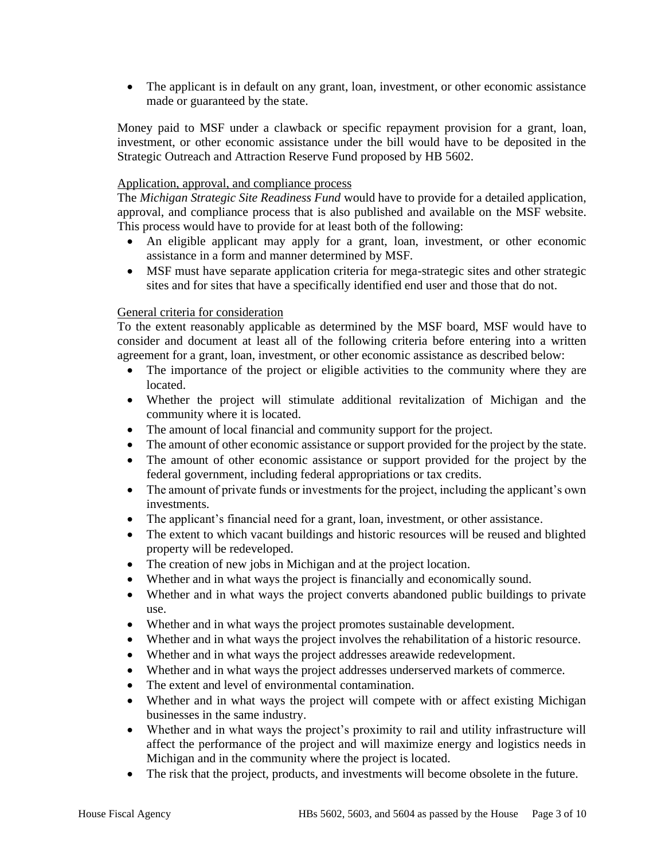• The applicant is in default on any grant, loan, investment, or other economic assistance made or guaranteed by the state.

Money paid to MSF under a clawback or specific repayment provision for a grant, loan, investment, or other economic assistance under the bill would have to be deposited in the Strategic Outreach and Attraction Reserve Fund proposed by HB 5602.

## Application, approval, and compliance process

The *Michigan Strategic Site Readiness Fund* would have to provide for a detailed application, approval, and compliance process that is also published and available on the MSF website. This process would have to provide for at least both of the following:

- An eligible applicant may apply for a grant, loan, investment, or other economic assistance in a form and manner determined by MSF.
- MSF must have separate application criteria for mega-strategic sites and other strategic sites and for sites that have a specifically identified end user and those that do not.

# General criteria for consideration

To the extent reasonably applicable as determined by the MSF board, MSF would have to consider and document at least all of the following criteria before entering into a written agreement for a grant, loan, investment, or other economic assistance as described below:

- The importance of the project or eligible activities to the community where they are located.
- Whether the project will stimulate additional revitalization of Michigan and the community where it is located.
- The amount of local financial and community support for the project.
- The amount of other economic assistance or support provided for the project by the state.
- The amount of other economic assistance or support provided for the project by the federal government, including federal appropriations or tax credits.
- The amount of private funds or investments for the project, including the applicant's own investments.
- The applicant's financial need for a grant, loan, investment, or other assistance.
- The extent to which vacant buildings and historic resources will be reused and blighted property will be redeveloped.
- The creation of new jobs in Michigan and at the project location.
- Whether and in what ways the project is financially and economically sound.
- Whether and in what ways the project converts abandoned public buildings to private use.
- Whether and in what ways the project promotes sustainable development.
- Whether and in what ways the project involves the rehabilitation of a historic resource.
- Whether and in what ways the project addresses areawide redevelopment.
- Whether and in what ways the project addresses underserved markets of commerce.
- The extent and level of environmental contamination.
- Whether and in what ways the project will compete with or affect existing Michigan businesses in the same industry.
- Whether and in what ways the project's proximity to rail and utility infrastructure will affect the performance of the project and will maximize energy and logistics needs in Michigan and in the community where the project is located.
- The risk that the project, products, and investments will become obsolete in the future.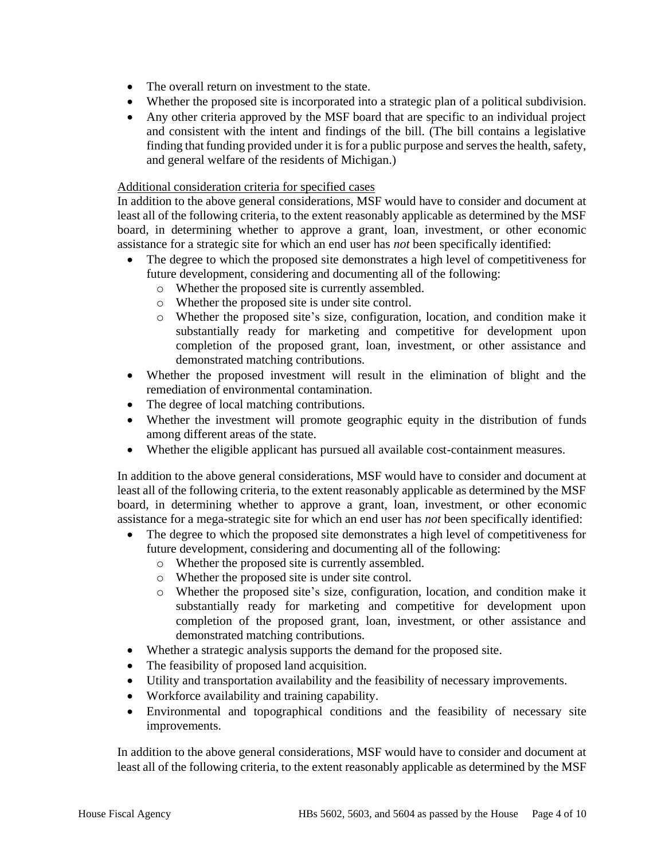- The overall return on investment to the state.
- Whether the proposed site is incorporated into a strategic plan of a political subdivision.
- Any other criteria approved by the MSF board that are specific to an individual project and consistent with the intent and findings of the bill. (The bill contains a legislative finding that funding provided under it is for a public purpose and serves the health, safety, and general welfare of the residents of Michigan.)

# Additional consideration criteria for specified cases

In addition to the above general considerations, MSF would have to consider and document at least all of the following criteria, to the extent reasonably applicable as determined by the MSF board, in determining whether to approve a grant, loan, investment, or other economic assistance for a strategic site for which an end user has *not* been specifically identified:

- The degree to which the proposed site demonstrates a high level of competitiveness for future development, considering and documenting all of the following:
	- o Whether the proposed site is currently assembled.
	- o Whether the proposed site is under site control.
	- o Whether the proposed site's size, configuration, location, and condition make it substantially ready for marketing and competitive for development upon completion of the proposed grant, loan, investment, or other assistance and demonstrated matching contributions.
- Whether the proposed investment will result in the elimination of blight and the remediation of environmental contamination.
- The degree of local matching contributions.
- Whether the investment will promote geographic equity in the distribution of funds among different areas of the state.
- Whether the eligible applicant has pursued all available cost-containment measures.

In addition to the above general considerations, MSF would have to consider and document at least all of the following criteria, to the extent reasonably applicable as determined by the MSF board, in determining whether to approve a grant, loan, investment, or other economic assistance for a mega-strategic site for which an end user has *not* been specifically identified:

- The degree to which the proposed site demonstrates a high level of competitiveness for future development, considering and documenting all of the following:
	- o Whether the proposed site is currently assembled.
	- o Whether the proposed site is under site control.
	- o Whether the proposed site's size, configuration, location, and condition make it substantially ready for marketing and competitive for development upon completion of the proposed grant, loan, investment, or other assistance and demonstrated matching contributions.
- Whether a strategic analysis supports the demand for the proposed site.
- The feasibility of proposed land acquisition.
- Utility and transportation availability and the feasibility of necessary improvements.
- Workforce availability and training capability.
- Environmental and topographical conditions and the feasibility of necessary site improvements.

In addition to the above general considerations, MSF would have to consider and document at least all of the following criteria, to the extent reasonably applicable as determined by the MSF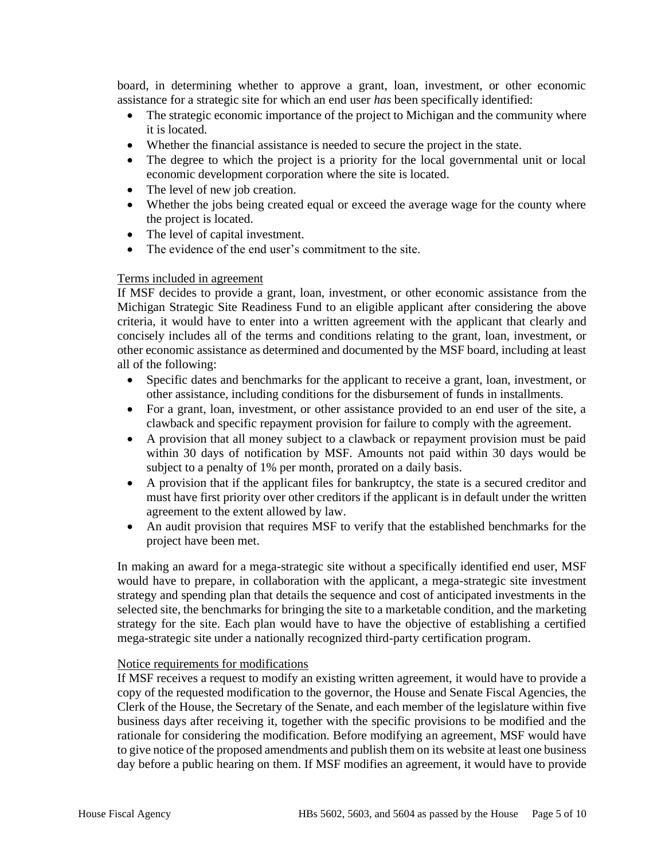board, in determining whether to approve a grant, loan, investment, or other economic assistance for a strategic site for which an end user *has* been specifically identified:

- The strategic economic importance of the project to Michigan and the community where it is located.
- Whether the financial assistance is needed to secure the project in the state.
- The degree to which the project is a priority for the local governmental unit or local economic development corporation where the site is located.
- The level of new job creation.
- Whether the jobs being created equal or exceed the average wage for the county where the project is located.
- The level of capital investment.
- The evidence of the end user's commitment to the site.

## Terms included in agreement

If MSF decides to provide a grant, loan, investment, or other economic assistance from the Michigan Strategic Site Readiness Fund to an eligible applicant after considering the above criteria, it would have to enter into a written agreement with the applicant that clearly and concisely includes all of the terms and conditions relating to the grant, loan, investment, or other economic assistance as determined and documented by the MSF board, including at least all of the following:

- Specific dates and benchmarks for the applicant to receive a grant, loan, investment, or other assistance, including conditions for the disbursement of funds in installments.
- For a grant, loan, investment, or other assistance provided to an end user of the site, a clawback and specific repayment provision for failure to comply with the agreement.
- A provision that all money subject to a clawback or repayment provision must be paid within 30 days of notification by MSF. Amounts not paid within 30 days would be subject to a penalty of 1% per month, prorated on a daily basis.
- A provision that if the applicant files for bankruptcy, the state is a secured creditor and must have first priority over other creditors if the applicant is in default under the written agreement to the extent allowed by law.
- An audit provision that requires MSF to verify that the established benchmarks for the project have been met.

In making an award for a mega-strategic site without a specifically identified end user, MSF would have to prepare, in collaboration with the applicant, a mega-strategic site investment strategy and spending plan that details the sequence and cost of anticipated investments in the selected site, the benchmarks for bringing the site to a marketable condition, and the marketing strategy for the site. Each plan would have to have the objective of establishing a certified mega-strategic site under a nationally recognized third-party certification program.

## Notice requirements for modifications

If MSF receives a request to modify an existing written agreement, it would have to provide a copy of the requested modification to the governor, the House and Senate Fiscal Agencies, the Clerk of the House, the Secretary of the Senate, and each member of the legislature within five business days after receiving it, together with the specific provisions to be modified and the rationale for considering the modification. Before modifying an agreement, MSF would have to give notice of the proposed amendments and publish them on its website at least one business day before a public hearing on them. If MSF modifies an agreement, it would have to provide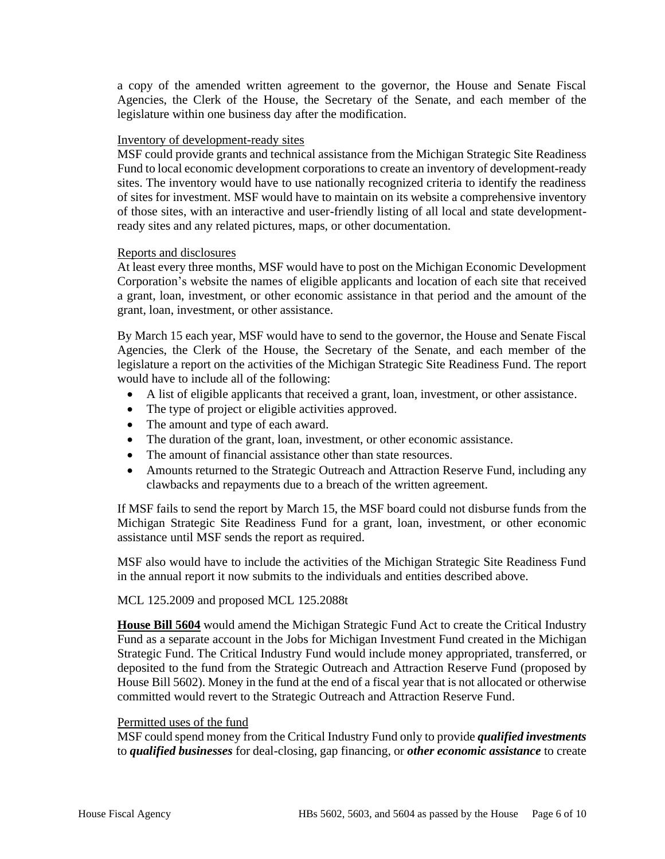a copy of the amended written agreement to the governor, the House and Senate Fiscal Agencies, the Clerk of the House, the Secretary of the Senate, and each member of the legislature within one business day after the modification.

#### Inventory of development-ready sites

MSF could provide grants and technical assistance from the Michigan Strategic Site Readiness Fund to local economic development corporations to create an inventory of development-ready sites. The inventory would have to use nationally recognized criteria to identify the readiness of sites for investment. MSF would have to maintain on its website a comprehensive inventory of those sites, with an interactive and user-friendly listing of all local and state developmentready sites and any related pictures, maps, or other documentation.

#### Reports and disclosures

At least every three months, MSF would have to post on the Michigan Economic Development Corporation's website the names of eligible applicants and location of each site that received a grant, loan, investment, or other economic assistance in that period and the amount of the grant, loan, investment, or other assistance.

By March 15 each year, MSF would have to send to the governor, the House and Senate Fiscal Agencies, the Clerk of the House, the Secretary of the Senate, and each member of the legislature a report on the activities of the Michigan Strategic Site Readiness Fund. The report would have to include all of the following:

- A list of eligible applicants that received a grant, loan, investment, or other assistance.
- The type of project or eligible activities approved.
- The amount and type of each award.
- The duration of the grant, loan, investment, or other economic assistance.
- The amount of financial assistance other than state resources.
- Amounts returned to the Strategic Outreach and Attraction Reserve Fund, including any clawbacks and repayments due to a breach of the written agreement.

If MSF fails to send the report by March 15, the MSF board could not disburse funds from the Michigan Strategic Site Readiness Fund for a grant, loan, investment, or other economic assistance until MSF sends the report as required.

MSF also would have to include the activities of the Michigan Strategic Site Readiness Fund in the annual report it now submits to the individuals and entities described above.

## MCL 125.2009 and proposed MCL 125.2088t

**House Bill 5604** would amend the Michigan Strategic Fund Act to create the Critical Industry Fund as a separate account in the Jobs for Michigan Investment Fund created in the Michigan Strategic Fund. The Critical Industry Fund would include money appropriated, transferred, or deposited to the fund from the Strategic Outreach and Attraction Reserve Fund (proposed by House Bill 5602). Money in the fund at the end of a fiscal year that is not allocated or otherwise committed would revert to the Strategic Outreach and Attraction Reserve Fund.

## Permitted uses of the fund

MSF could spend money from the Critical Industry Fund only to provide *qualified investments* to *qualified businesses* for deal-closing, gap financing, or *other economic assistance* to create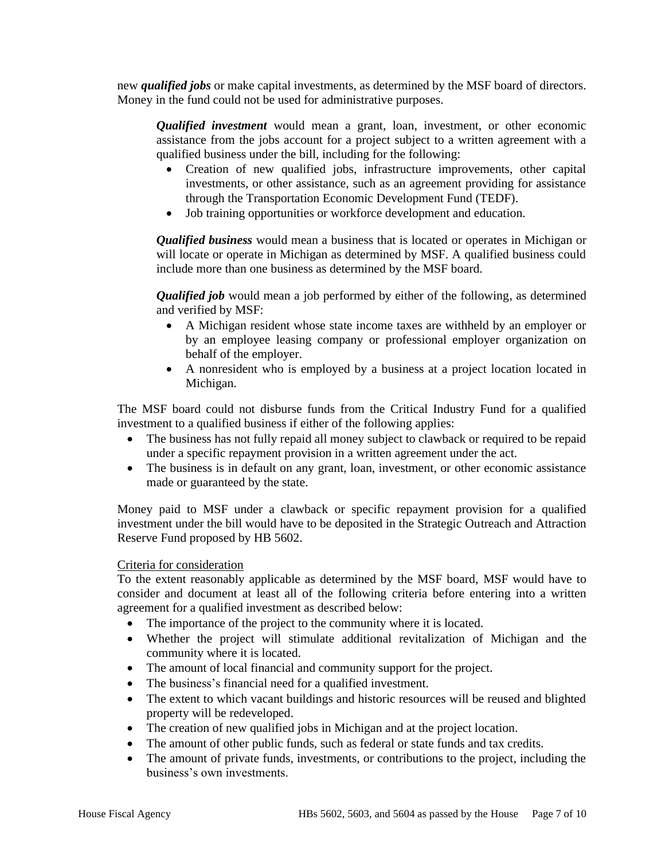new *qualified jobs* or make capital investments, as determined by the MSF board of directors. Money in the fund could not be used for administrative purposes.

*Qualified investment* would mean a grant, loan, investment, or other economic assistance from the jobs account for a project subject to a written agreement with a qualified business under the bill, including for the following:

- Creation of new qualified jobs, infrastructure improvements, other capital investments, or other assistance, such as an agreement providing for assistance through the Transportation Economic Development Fund (TEDF).
- Job training opportunities or workforce development and education.

*Qualified business* would mean a business that is located or operates in Michigan or will locate or operate in Michigan as determined by MSF. A qualified business could include more than one business as determined by the MSF board.

*Qualified job* would mean a job performed by either of the following, as determined and verified by MSF:

- A Michigan resident whose state income taxes are withheld by an employer or by an employee leasing company or professional employer organization on behalf of the employer.
- A nonresident who is employed by a business at a project location located in Michigan.

The MSF board could not disburse funds from the Critical Industry Fund for a qualified investment to a qualified business if either of the following applies:

- The business has not fully repaid all money subject to clawback or required to be repaid under a specific repayment provision in a written agreement under the act.
- The business is in default on any grant, loan, investment, or other economic assistance made or guaranteed by the state.

Money paid to MSF under a clawback or specific repayment provision for a qualified investment under the bill would have to be deposited in the Strategic Outreach and Attraction Reserve Fund proposed by HB 5602.

# Criteria for consideration

To the extent reasonably applicable as determined by the MSF board, MSF would have to consider and document at least all of the following criteria before entering into a written agreement for a qualified investment as described below:

- The importance of the project to the community where it is located.
- Whether the project will stimulate additional revitalization of Michigan and the community where it is located.
- The amount of local financial and community support for the project.
- The business's financial need for a qualified investment.
- The extent to which vacant buildings and historic resources will be reused and blighted property will be redeveloped.
- The creation of new qualified jobs in Michigan and at the project location.
- The amount of other public funds, such as federal or state funds and tax credits.
- The amount of private funds, investments, or contributions to the project, including the business's own investments.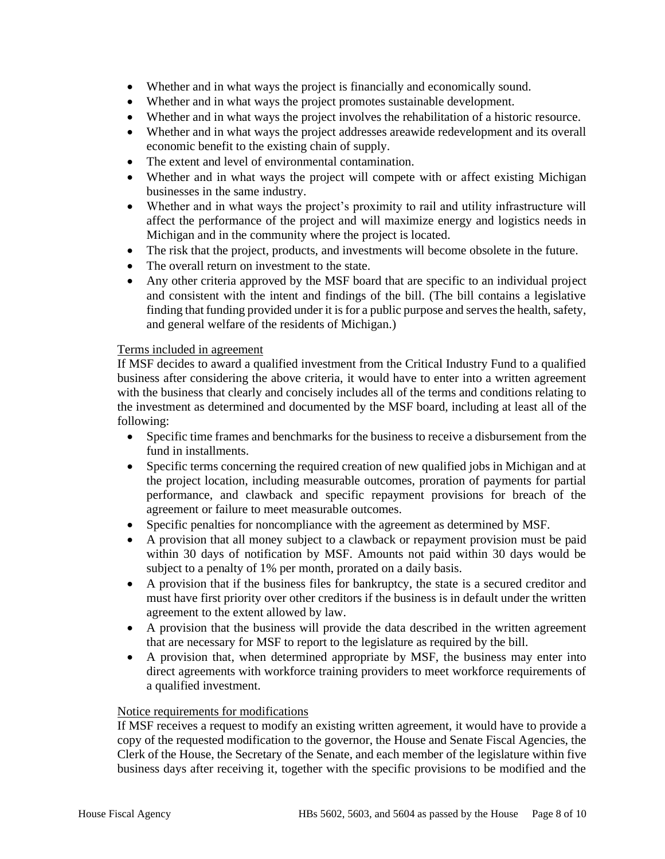- Whether and in what ways the project is financially and economically sound.
- Whether and in what ways the project promotes sustainable development.
- Whether and in what ways the project involves the rehabilitation of a historic resource.
- Whether and in what ways the project addresses areawide redevelopment and its overall economic benefit to the existing chain of supply.
- The extent and level of environmental contamination.
- Whether and in what ways the project will compete with or affect existing Michigan businesses in the same industry.
- Whether and in what ways the project's proximity to rail and utility infrastructure will affect the performance of the project and will maximize energy and logistics needs in Michigan and in the community where the project is located.
- The risk that the project, products, and investments will become obsolete in the future.
- The overall return on investment to the state.
- Any other criteria approved by the MSF board that are specific to an individual project and consistent with the intent and findings of the bill. (The bill contains a legislative finding that funding provided under it is for a public purpose and serves the health, safety, and general welfare of the residents of Michigan.)

## Terms included in agreement

If MSF decides to award a qualified investment from the Critical Industry Fund to a qualified business after considering the above criteria, it would have to enter into a written agreement with the business that clearly and concisely includes all of the terms and conditions relating to the investment as determined and documented by the MSF board, including at least all of the following:

- Specific time frames and benchmarks for the business to receive a disbursement from the fund in installments.
- Specific terms concerning the required creation of new qualified jobs in Michigan and at the project location, including measurable outcomes, proration of payments for partial performance, and clawback and specific repayment provisions for breach of the agreement or failure to meet measurable outcomes.
- Specific penalties for noncompliance with the agreement as determined by MSF.
- A provision that all money subject to a clawback or repayment provision must be paid within 30 days of notification by MSF. Amounts not paid within 30 days would be subject to a penalty of 1% per month, prorated on a daily basis.
- A provision that if the business files for bankruptcy, the state is a secured creditor and must have first priority over other creditors if the business is in default under the written agreement to the extent allowed by law.
- A provision that the business will provide the data described in the written agreement that are necessary for MSF to report to the legislature as required by the bill.
- A provision that, when determined appropriate by MSF, the business may enter into direct agreements with workforce training providers to meet workforce requirements of a qualified investment.

#### Notice requirements for modifications

If MSF receives a request to modify an existing written agreement, it would have to provide a copy of the requested modification to the governor, the House and Senate Fiscal Agencies, the Clerk of the House, the Secretary of the Senate, and each member of the legislature within five business days after receiving it, together with the specific provisions to be modified and the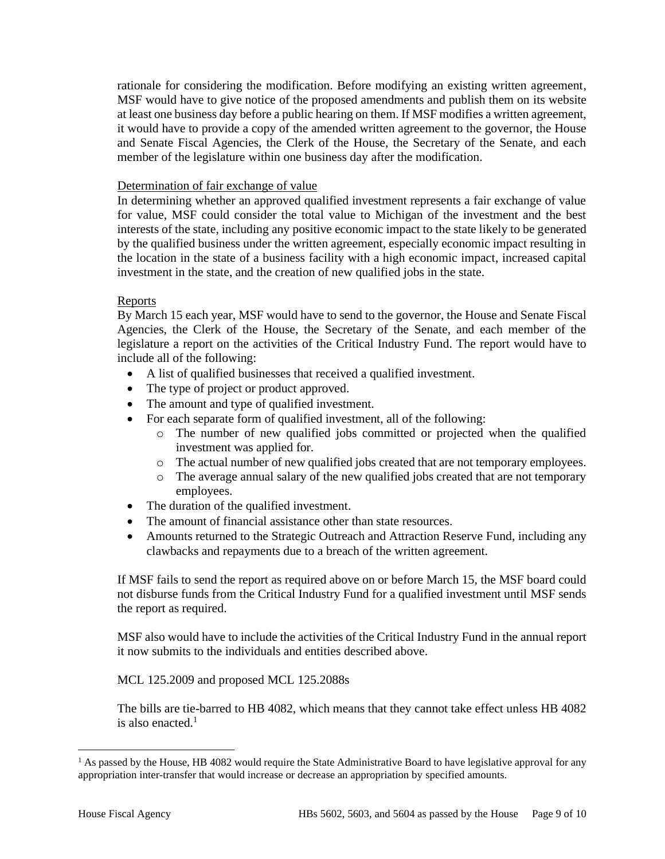rationale for considering the modification. Before modifying an existing written agreement, MSF would have to give notice of the proposed amendments and publish them on its website at least one business day before a public hearing on them. If MSF modifies a written agreement, it would have to provide a copy of the amended written agreement to the governor, the House and Senate Fiscal Agencies, the Clerk of the House, the Secretary of the Senate, and each member of the legislature within one business day after the modification.

# Determination of fair exchange of value

In determining whether an approved qualified investment represents a fair exchange of value for value, MSF could consider the total value to Michigan of the investment and the best interests of the state, including any positive economic impact to the state likely to be generated by the qualified business under the written agreement, especially economic impact resulting in the location in the state of a business facility with a high economic impact, increased capital investment in the state, and the creation of new qualified jobs in the state.

# Reports

By March 15 each year, MSF would have to send to the governor, the House and Senate Fiscal Agencies, the Clerk of the House, the Secretary of the Senate, and each member of the legislature a report on the activities of the Critical Industry Fund. The report would have to include all of the following:

- A list of qualified businesses that received a qualified investment.
- The type of project or product approved.
- The amount and type of qualified investment.
- For each separate form of qualified investment, all of the following:
	- o The number of new qualified jobs committed or projected when the qualified investment was applied for.
	- o The actual number of new qualified jobs created that are not temporary employees.
	- o The average annual salary of the new qualified jobs created that are not temporary employees.
- The duration of the qualified investment.
- The amount of financial assistance other than state resources.
- Amounts returned to the Strategic Outreach and Attraction Reserve Fund, including any clawbacks and repayments due to a breach of the written agreement.

If MSF fails to send the report as required above on or before March 15, the MSF board could not disburse funds from the Critical Industry Fund for a qualified investment until MSF sends the report as required.

MSF also would have to include the activities of the Critical Industry Fund in the annual report it now submits to the individuals and entities described above.

MCL 125.2009 and proposed MCL 125.2088s

The bills are tie-barred to HB 4082, which means that they cannot take effect unless HB 4082 is also enacted. $<sup>1</sup>$ </sup>

 $<sup>1</sup>$  As passed by the House, HB 4082 would require the State Administrative Board to have legislative approval for any</sup> appropriation inter-transfer that would increase or decrease an appropriation by specified amounts.